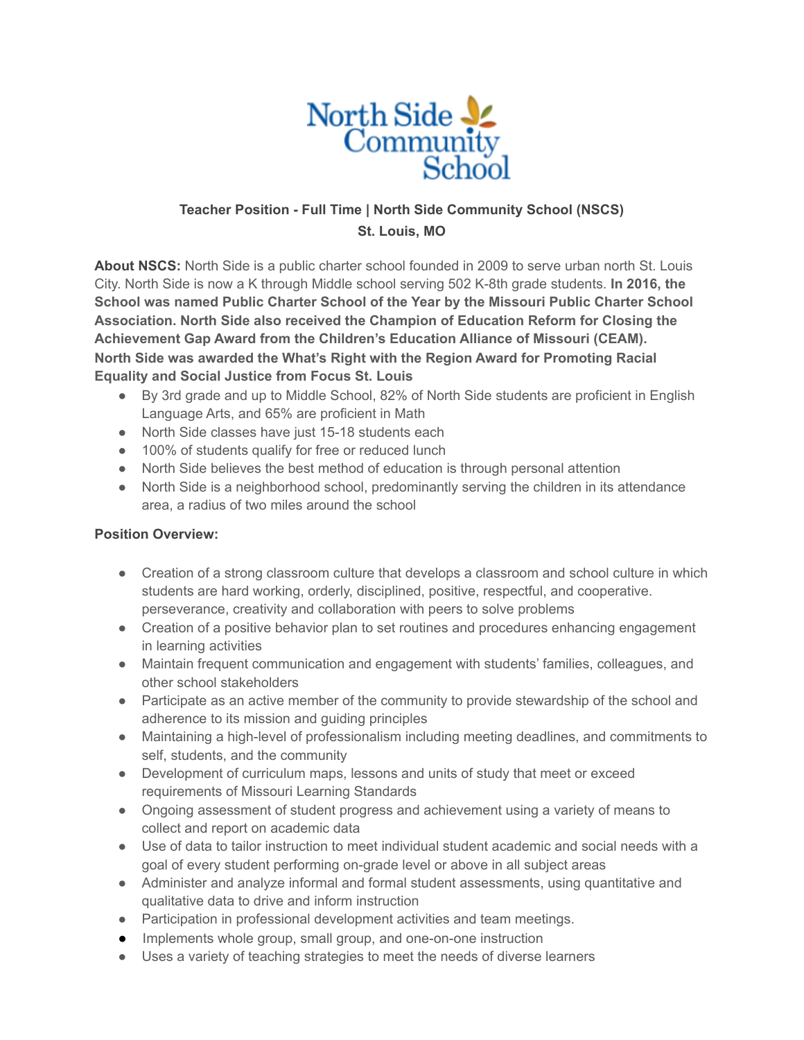

## **Teacher Position - Full Time | North Side Community School (NSCS) St. Louis, MO**

**About NSCS:** North Side is a public charter school founded in 2009 to serve urban north St. Louis City. North Side is now a K through Middle school serving 502 K-8th grade students. **In 2016, the School was named Public Charter School of the Year by the Missouri Public Charter School Association. North Side also received the Champion of Education Reform for Closing the Achievement Gap Award from the Children's Education Alliance of Missouri (CEAM). North Side was awarded the What's Right with the Region Award for Promoting Racial Equality and Social Justice from Focus St. Louis**

- By 3rd grade and up to Middle School, 82% of North Side students are proficient in English Language Arts, and 65% are proficient in Math
- North Side classes have just 15-18 students each
- 100% of students qualify for free or reduced lunch
- North Side believes the best method of education is through personal attention
- North Side is a neighborhood school, predominantly serving the children in its attendance area, a radius of two miles around the school

## **Position Overview:**

- Creation of a strong classroom culture that develops a classroom and school culture in which students are hard working, orderly, disciplined, positive, respectful, and cooperative. perseverance, creativity and collaboration with peers to solve problems
- Creation of a positive behavior plan to set routines and procedures enhancing engagement in learning activities
- Maintain frequent communication and engagement with students' families, colleagues, and other school stakeholders
- Participate as an active member of the community to provide stewardship of the school and adherence to its mission and guiding principles
- Maintaining a high-level of professionalism including meeting deadlines, and commitments to self, students, and the community
- Development of curriculum maps, lessons and units of study that meet or exceed requirements of Missouri Learning Standards
- Ongoing assessment of student progress and achievement using a variety of means to collect and report on academic data
- Use of data to tailor instruction to meet individual student academic and social needs with a goal of every student performing on-grade level or above in all subject areas
- Administer and analyze informal and formal student assessments, using quantitative and qualitative data to drive and inform instruction
- Participation in professional development activities and team meetings.
- Implements whole group, small group, and one-on-one instruction
- Uses a variety of teaching strategies to meet the needs of diverse learners